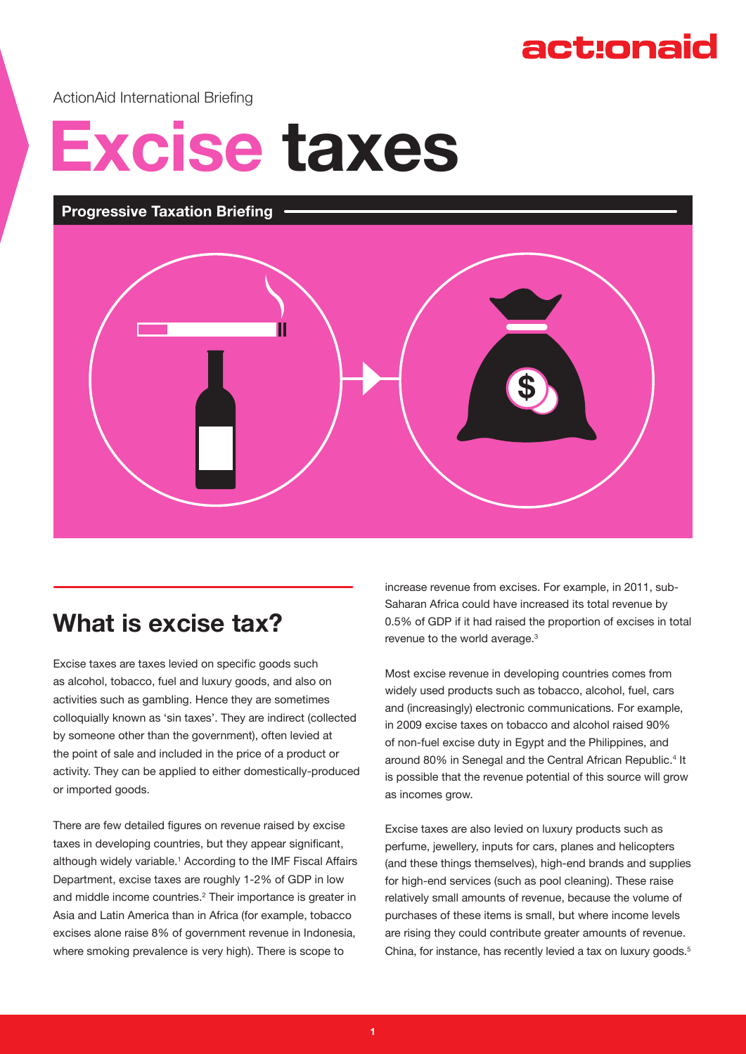# act:onaid

ActionAid International Briefing

# **Excise taxes**

#### **Progressive Taxation Briefing**



# **What is excise tax?**

Excise taxes are taxes levied on specific goods such as alcohol, tobacco, fuel and luxury goods, and also on activities such as gambling. Hence they are sometimes colloquially known as 'sin taxes'. They are indirect (collected by someone other than the government), often levied at the point of sale and included in the price of a product or activity. They can be applied to either domestically-produced or imported goods.

There are few detailed figures on revenue raised by excise taxes in developing countries, but they appear significant, although widely variable.<sup>1</sup> According to the IMF Fiscal Affairs Department, excise taxes are roughly 1-2% of GDP in low and middle income countries.<sup>2</sup> Their importance is greater in Asia and Latin America than in Africa (for example, tobacco excises alone raise 8% of government revenue in Indonesia, where smoking prevalence is very high). There is scope to

increase revenue from excises. For example, in 2011, sub-Saharan Africa could have increased its total revenue by 0.5% of GDP if it had raised the proportion of excises in total revenue to the world average.<sup>3</sup>

Most excise revenue in developing countries comes from widely used products such as tobacco, alcohol, fuel, cars and (increasingly) electronic communications. For example, in 2009 excise taxes on tobacco and alcohol raised 90% of non-fuel excise duty in Egypt and the Philippines, and around 80% in Senegal and the Central African Republic.<sup>4</sup> It is possible that the revenue potential of this source will grow as incomes grow.

Excise taxes are also levied on luxury products such as perfume, jewellery, inputs for cars, planes and helicopters (and these things themselves), high-end brands and supplies for high-end services (such as pool cleaning). These raise relatively small amounts of revenue, because the volume of purchases of these items is small, but where income levels are rising they could contribute greater amounts of revenue. China, for instance, has recently levied a tax on luxury goods.<sup>5</sup>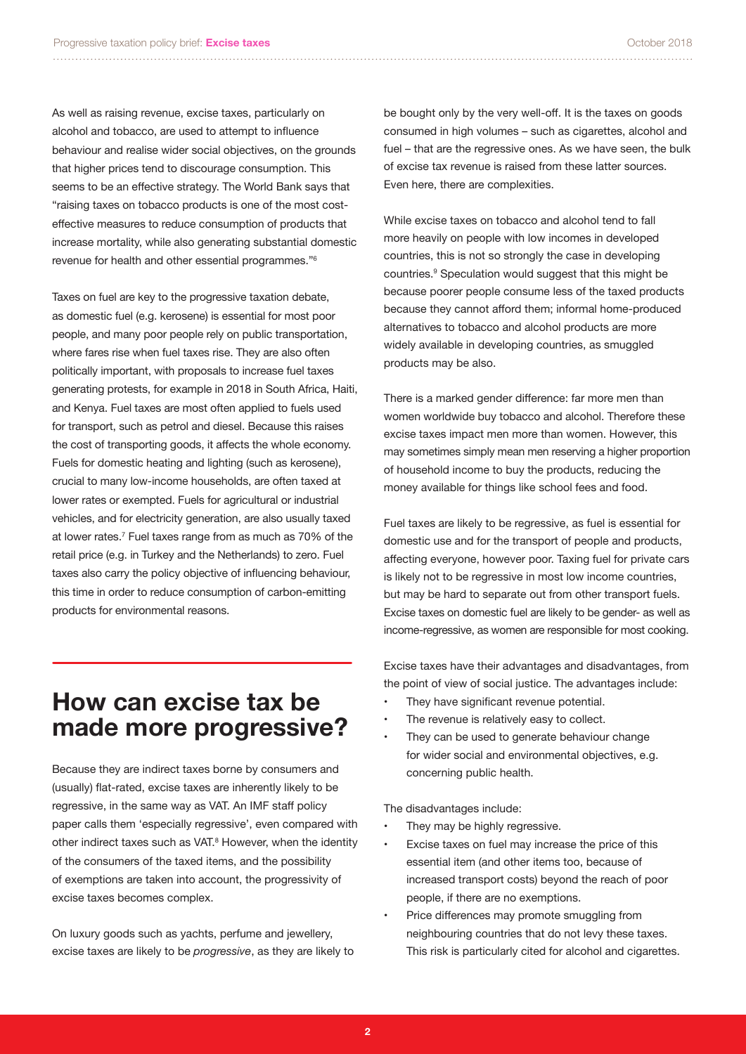As well as raising revenue, excise taxes, particularly on alcohol and tobacco, are used to attempt to influence behaviour and realise wider social objectives, on the grounds that higher prices tend to discourage consumption. This seems to be an effective strategy. The World Bank says that "raising taxes on tobacco products is one of the most costeffective measures to reduce consumption of products that increase mortality, while also generating substantial domestic revenue for health and other essential programmes."<sup>6</sup>

Taxes on fuel are key to the progressive taxation debate, as domestic fuel (e.g. kerosene) is essential for most poor people, and many poor people rely on public transportation, where fares rise when fuel taxes rise. They are also often politically important, with proposals to increase fuel taxes generating protests, for example in 2018 in South Africa, Haiti, and Kenya. Fuel taxes are most often applied to fuels used for transport, such as petrol and diesel. Because this raises the cost of transporting goods, it affects the whole economy. Fuels for domestic heating and lighting (such as kerosene), crucial to many low-income households, are often taxed at lower rates or exempted. Fuels for agricultural or industrial vehicles, and for electricity generation, are also usually taxed at lower rates.<sup>7</sup> Fuel taxes range from as much as 70% of the retail price (e.g. in Turkey and the Netherlands) to zero. Fuel taxes also carry the policy objective of influencing behaviour, this time in order to reduce consumption of carbon-emitting products for environmental reasons.

### **How can excise tax be made more progressive?**

Because they are indirect taxes borne by consumers and (usually) flat-rated, excise taxes are inherently likely to be regressive, in the same way as VAT. An IMF staff policy paper calls them 'especially regressive', even compared with other indirect taxes such as VAT.<sup>8</sup> However, when the identity of the consumers of the taxed items, and the possibility of exemptions are taken into account, the progressivity of excise taxes becomes complex.

On luxury goods such as yachts, perfume and jewellery, excise taxes are likely to be *progressive*, as they are likely to

be bought only by the very well-off. It is the taxes on goods consumed in high volumes – such as cigarettes, alcohol and fuel – that are the regressive ones. As we have seen, the bulk of excise tax revenue is raised from these latter sources. Even here, there are complexities.

While excise taxes on tobacco and alcohol tend to fall more heavily on people with low incomes in developed countries, this is not so strongly the case in developing countries.9 Speculation would suggest that this might be because poorer people consume less of the taxed products because they cannot afford them; informal home-produced alternatives to tobacco and alcohol products are more widely available in developing countries, as smuggled products may be also.

There is a marked gender difference: far more men than women worldwide buy tobacco and alcohol. Therefore these excise taxes impact men more than women. However, this may sometimes simply mean men reserving a higher proportion of household income to buy the products, reducing the money available for things like school fees and food.

Fuel taxes are likely to be regressive, as fuel is essential for domestic use and for the transport of people and products, affecting everyone, however poor. Taxing fuel for private cars is likely not to be regressive in most low income countries, but may be hard to separate out from other transport fuels. Excise taxes on domestic fuel are likely to be gender- as well as income-regressive, as women are responsible for most cooking.

Excise taxes have their advantages and disadvantages, from the point of view of social justice. The advantages include:

- They have significant revenue potential.
- The revenue is relatively easy to collect.
- They can be used to generate behaviour change for wider social and environmental objectives, e.g. concerning public health.

The disadvantages include:

- They may be highly regressive.
- Excise taxes on fuel may increase the price of this essential item (and other items too, because of increased transport costs) beyond the reach of poor people, if there are no exemptions.
- Price differences may promote smuggling from neighbouring countries that do not levy these taxes. This risk is particularly cited for alcohol and cigarettes.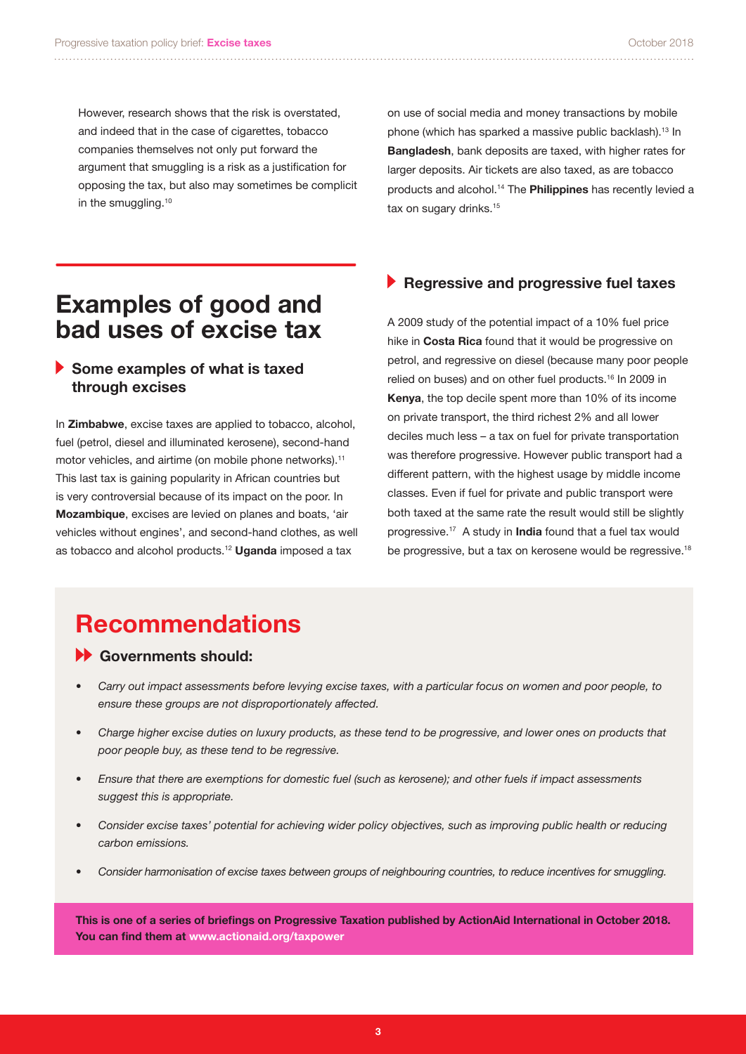However, research shows that the risk is overstated, and indeed that in the case of cigarettes, tobacco companies themselves not only put forward the argument that smuggling is a risk as a justification for opposing the tax, but also may sometimes be complicit in the smuggling.<sup>10</sup>

on use of social media and money transactions by mobile phone (which has sparked a massive public backlash).<sup>13</sup> In **Bangladesh**, bank deposits are taxed, with higher rates for larger deposits. Air tickets are also taxed, as are tobacco products and alcohol.<sup>14</sup> The **Philippines** has recently levied a tax on sugary drinks.<sup>15</sup>

## **Examples of good and bad uses of excise tax**

#### **Some examples of what is taxed through excises**

In **Zimbabwe**, excise taxes are applied to tobacco, alcohol, fuel (petrol, diesel and illuminated kerosene), second-hand motor vehicles, and airtime (on mobile phone networks).<sup>11</sup> This last tax is gaining popularity in African countries but is very controversial because of its impact on the poor. In **Mozambique**, excises are levied on planes and boats, 'air vehicles without engines', and second-hand clothes, as well as tobacco and alcohol products.12 **Uganda** imposed a tax

#### **Regressive and progressive fuel taxes**

A 2009 study of the potential impact of a 10% fuel price hike in **Costa Rica** found that it would be progressive on petrol, and regressive on diesel (because many poor people relied on buses) and on other fuel products.<sup>16</sup> In 2009 in **Kenya**, the top decile spent more than 10% of its income on private transport, the third richest 2% and all lower deciles much less – a tax on fuel for private transportation was therefore progressive. However public transport had a different pattern, with the highest usage by middle income classes. Even if fuel for private and public transport were both taxed at the same rate the result would still be slightly progressive.<sup>17</sup> A study in **India** found that a fuel tax would be progressive, but a tax on kerosene would be regressive.<sup>18</sup>

## **Recommendations**

#### **Governments should:**

- *• Carry out impact assessments before levying excise taxes, with a particular focus on women and poor people, to ensure these groups are not disproportionately affected.*
- *• Charge higher excise duties on luxury products, as these tend to be progressive, and lower ones on products that poor people buy, as these tend to be regressive.*
- *• Ensure that there are exemptions for domestic fuel (such as kerosene); and other fuels if impact assessments suggest this is appropriate.*
- *• Consider excise taxes' potential for achieving wider policy objectives, such as improving public health or reducing carbon emissions.*
- *• Consider harmonisation of excise taxes between groups of neighbouring countries, to reduce incentives for smuggling.*

**This is one of a series of briefings on Progressive Taxation published by ActionAid International in October 2018. You can find them at www.actionaid.org/taxpower**